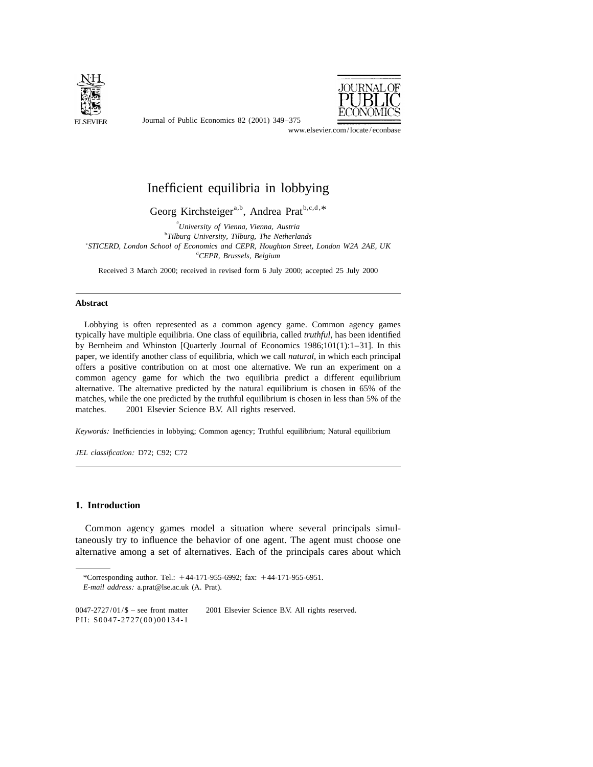

Journal of Public Economics 82 (2001) 349–375



www.elsevier.com/locate/econbase

# Inefficient equilibria in lobbying

Georg Kirchsteiger<sup>a,b</sup>, Andrea Prat  $b,c,d,*$ 

a *University of Vienna*, *Vienna*, *Austria* b *Tilburg University*, *Tilburg*, *The Netherlands* c *STICERD*, *London School of Economics and CEPR*, *Houghton Street*, *London W*2*A* <sup>2</sup>*AE*, *UK* d *CEPR*, *Brussels*, *Belgium*

Received 3 March 2000; received in revised form 6 July 2000; accepted 25 July 2000

### **Abstract**

Lobbying is often represented as a common agency game. Common agency games typically have multiple equilibria. One class of equilibria, called *truthful*, has been identified by Bernheim and Whinston [Quarterly Journal of Economics 1986;101(1):1–31]. In this paper, we identify another class of equilibria, which we call *natural*, in which each principal offers a positive contribution on at most one alternative. We run an experiment on a common agency game for which the two equilibria predict a different equilibrium alternative. The alternative predicted by the natural equilibrium is chosen in 65% of the matches, while the one predicted by the truthful equilibrium is chosen in less than 5% of the matches.  $\circ$  2001 Elsevier Science B.V. All rights reserved.

*Keywords*: Inefficiencies in lobbying; Common agency; Truthful equilibrium; Natural equilibrium

*JEL classification*: D72; C92; C72

# **1. Introduction**

Common agency games model a situation where several principals simultaneously try to influence the behavior of one agent. The agent must choose one alternative among a set of alternatives. Each of the principals cares about which

<sup>\*</sup>Corresponding author. Tel.:  $+44-171-955-6992$ ; fax:  $+44-171-955-6951$ .

*E*-*mail address*: a.prat@lse.ac.uk (A. Prat).

 $0047-2727/01/\$$  – see front matter  $\)$  2001 Elsevier Science B.V. All rights reserved. PII: S0047-2727(00)00134-1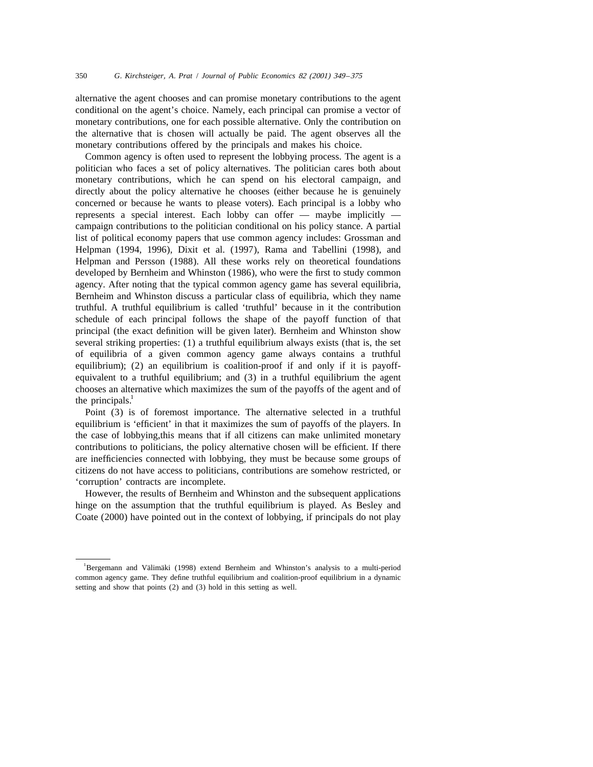alternative the agent chooses and can promise monetary contributions to the agent conditional on the agent's choice. Namely, each principal can promise a vector of monetary contributions, one for each possible alternative. Only the contribution on the alternative that is chosen will actually be paid. The agent observes all the monetary contributions offered by the principals and makes his choice.

Common agency is often used to represent the lobbying process. The agent is a politician who faces a set of policy alternatives. The politician cares both about monetary contributions, which he can spend on his electoral campaign, and directly about the policy alternative he chooses (either because he is genuinely concerned or because he wants to please voters). Each principal is a lobby who represents a special interest. Each lobby can offer — maybe implicitly campaign contributions to the politician conditional on his policy stance. A partial list of political economy papers that use common agency includes: Grossman and Helpman (1994, 1996), Dixit et al. (1997), Rama and Tabellini (1998), and Helpman and Persson (1988). All these works rely on theoretical foundations developed by Bernheim and Whinston (1986), who were the first to study common agency. After noting that the typical common agency game has several equilibria, Bernheim and Whinston discuss a particular class of equilibria, which they name truthful. A truthful equilibrium is called 'truthful' because in it the contribution schedule of each principal follows the shape of the payoff function of that principal (the exact definition will be given later). Bernheim and Whinston show several striking properties: (1) a truthful equilibrium always exists (that is, the set of equilibria of a given common agency game always contains a truthful equilibrium); (2) an equilibrium is coalition-proof if and only if it is payoffequivalent to a truthful equilibrium; and (3) in a truthful equilibrium the agent chooses an alternative which maximizes the sum of the payoffs of the agent and of the principals.<sup>1</sup>

Point (3) is of foremost importance. The alternative selected in a truthful equilibrium is 'efficient' in that it maximizes the sum of payoffs of the players. In the case of lobbying,this means that if all citizens can make unlimited monetary contributions to politicians, the policy alternative chosen will be efficient. If there are inefficiencies connected with lobbying, they must be because some groups of citizens do not have access to politicians, contributions are somehow restricted, or 'corruption' contracts are incomplete.

However, the results of Bernheim and Whinston and the subsequent applications hinge on the assumption that the truthful equilibrium is played. As Besley and Coate (2000) have pointed out in the context of lobbying, if principals do not play

Bergemann and Välimäki (1998) extend Bernheim and Whinston's analysis to a multi-period common agency game. They define truthful equilibrium and coalition-proof equilibrium in a dynamic setting and show that points (2) and (3) hold in this setting as well.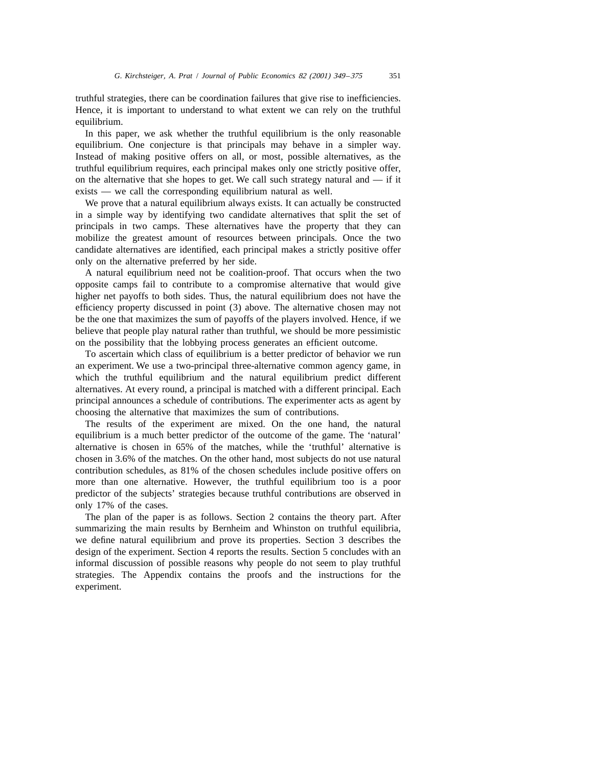truthful strategies, there can be coordination failures that give rise to inefficiencies. Hence, it is important to understand to what extent we can rely on the truthful equilibrium.

In this paper, we ask whether the truthful equilibrium is the only reasonable equilibrium. One conjecture is that principals may behave in a simpler way. Instead of making positive offers on all, or most, possible alternatives, as the truthful equilibrium requires, each principal makes only one strictly positive offer, on the alternative that she hopes to get. We call such strategy natural and  $-$  if it exists — we call the corresponding equilibrium natural as well.

We prove that a natural equilibrium always exists. It can actually be constructed in a simple way by identifying two candidate alternatives that split the set of principals in two camps. These alternatives have the property that they can mobilize the greatest amount of resources between principals. Once the two candidate alternatives are identified, each principal makes a strictly positive offer only on the alternative preferred by her side.

A natural equilibrium need not be coalition-proof. That occurs when the two opposite camps fail to contribute to a compromise alternative that would give higher net payoffs to both sides. Thus, the natural equilibrium does not have the efficiency property discussed in point (3) above. The alternative chosen may not be the one that maximizes the sum of payoffs of the players involved. Hence, if we believe that people play natural rather than truthful, we should be more pessimistic on the possibility that the lobbying process generates an efficient outcome.

To ascertain which class of equilibrium is a better predictor of behavior we run an experiment. We use a two-principal three-alternative common agency game, in which the truthful equilibrium and the natural equilibrium predict different alternatives. At every round, a principal is matched with a different principal. Each principal announces a schedule of contributions. The experimenter acts as agent by choosing the alternative that maximizes the sum of contributions.

The results of the experiment are mixed. On the one hand, the natural equilibrium is a much better predictor of the outcome of the game. The 'natural' alternative is chosen in 65% of the matches, while the 'truthful' alternative is chosen in 3.6% of the matches. On the other hand, most subjects do not use natural contribution schedules, as 81% of the chosen schedules include positive offers on more than one alternative. However, the truthful equilibrium too is a poor predictor of the subjects' strategies because truthful contributions are observed in only 17% of the cases.

The plan of the paper is as follows. Section 2 contains the theory part. After summarizing the main results by Bernheim and Whinston on truthful equilibria, we define natural equilibrium and prove its properties. Section 3 describes the design of the experiment. Section 4 reports the results. Section 5 concludes with an informal discussion of possible reasons why people do not seem to play truthful strategies. The Appendix contains the proofs and the instructions for the experiment.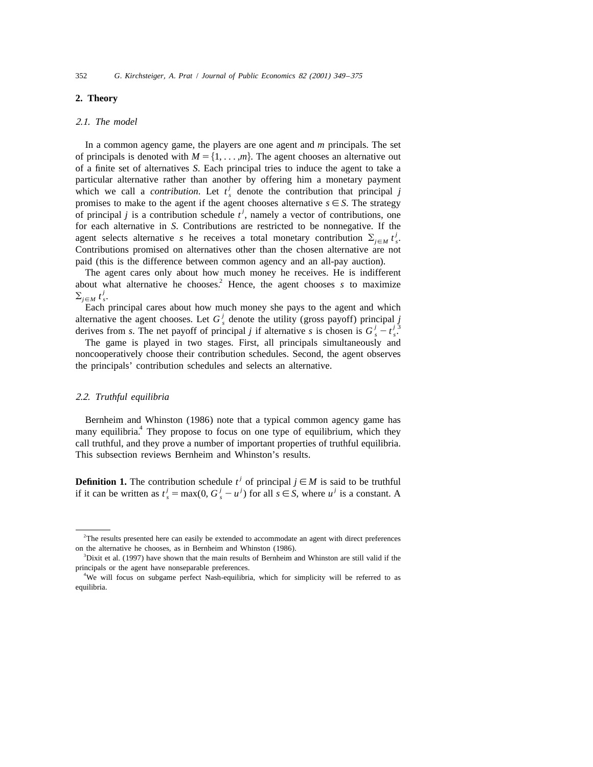### **2. Theory**

#### 2.1. *The model*

In a common agency game, the players are one agent and *m* principals. The set of principals is denoted with  $M = \{1, \ldots, m\}$ . The agent chooses an alternative out of a finite set of alternatives *S*. Each principal tries to induce the agent to take a particular alternative rather than another by offering him a monetary payment which we call a *contribution*. Let  $t^j$ , denote the contribution that principal *j* promises to make to the agent if the agent chooses alternative  $s \in S$ . The strategy of principal *j* is a contribution schedule  $t^j$ , namely a vector of contributions, one for each alternative in *S*. Contributions are restricted to be nonnegative. If the agent selects alternative *s* he receives a total monetary contribution  $\Sigma_{i \in M} t'_{s}$ . Contributions promised on alternatives other than the chosen alternative are not paid (this is the difference between common agency and an all-pay auction).

The agent cares only about how much money he receives. He is indifferent about what alternative he chooses.<sup>2</sup> Hence, the agent chooses *s* to maximize  $\sum_{i \in M} t_s^j$ .

Each principal cares about how much money she pays to the agent and which alternative the agent chooses. Let  $G_s^j$  denote the utility (gross payoff) principal j derives from s. The net payoff of principal j if alternative s is chosen is  $G_s^j - t_s^{j_3}$ .

The game is played in two stages. First, all principals simultaneously and noncooperatively choose their contribution schedules. Second, the agent observes the principals' contribution schedules and selects an alternative.

#### 2.2. *Truthful equilibria*

Bernheim and Whinston (1986) note that a typical common agency game has many equilibria.<sup>4</sup> They propose to focus on one type of equilibrium, which they call truthful, and they prove a number of important properties of truthful equilibria. This subsection reviews Bernheim and Whinston's results.

**Definition 1.** The contribution schedule  $t^j$  of principal  $j \in M$  is said to be truthful *if it can be written as*  $t_s^j = \max(0, G_s^j - u^j)$  *for all*  $s \in S$ *, where*  $u^j$  *is a constant. A* 

<sup>&</sup>lt;sup>2</sup>The results presented here can easily be extended to accommodate an agent with direct preferences on the alternative he chooses, as in Bernheim and Whinston (1986).

<sup>&</sup>lt;sup>3</sup>Dixit et al. (1997) have shown that the main results of Bernheim and Whinston are still valid if the principals or the agent have nonseparable preferences.

<sup>&</sup>lt;sup>4</sup>We will focus on subgame perfect Nash-equilibria, which for simplicity will be referred to as equilibria.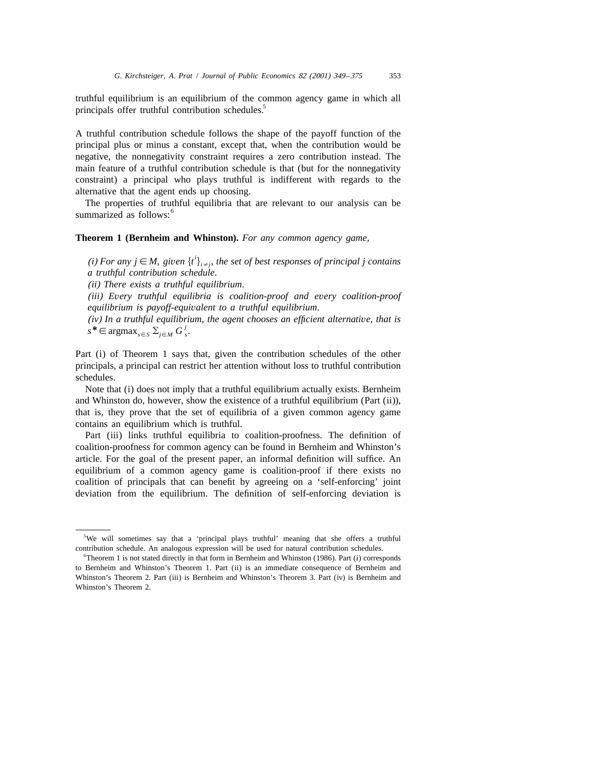truthful equilibrium is an equilibrium of the common agency game in which all principals offer truthful contribution schedules.<sup>5</sup>

A truthful contribution schedule follows the shape of the payoff function of the principal plus or minus a constant, except that, when the contribution would be negative, the nonnegativity constraint requires a zero contribution instead. The main feature of a truthful contribution schedule is that (but for the nonnegativity constraint) a principal who plays truthful is indifferent with regards to the alternative that the agent ends up choosing.

The properties of truthful equilibria that are relevant to our analysis can be summarized as follows:<sup>6</sup>

# **Theorem 1 (Bernheim and Whinston).** *For any common agency game*,

*(i)* For any  $j \in M$ , given  $\{t'\}_{i \neq j}$ , the set of best responses of principal j contains *a truthful contribution schedule*.

(*ii*) *There exists a truthful equilibrium*.

(*iii*) *Every truthful equilibria is coalition*-*proof and every coalition*-*proof equilibrium is payoff*-*equivalent to a truthful equilibrium*.

(*iv*) *In a truthful equilibrium*, *the agent chooses an efficient alternative*, *that is*  $s^* \in \text{argmax}_{s \in S} \sum_{i \in M} G_s^j$ .

Part (i) of Theorem 1 says that, given the contribution schedules of the other principals, a principal can restrict her attention without loss to truthful contribution schedules.

Note that (i) does not imply that a truthful equilibrium actually exists. Bernheim and Whinston do, however, show the existence of a truthful equilibrium (Part (ii)), that is, they prove that the set of equilibria of a given common agency game contains an equilibrium which is truthful.

Part (iii) links truthful equilibria to coalition-proofness. The definition of coalition-proofness for common agency can be found in Bernheim and Whinston's article. For the goal of the present paper, an informal definition will suffice. An equilibrium of a common agency game is coalition-proof if there exists no coalition of principals that can benefit by agreeing on a 'self-enforcing' joint deviation from the equilibrium. The definition of self-enforcing deviation is

<sup>&</sup>lt;sup>5</sup>We will sometimes say that a 'principal plays truthful' meaning that she offers a truthful contribution schedule. An analogous expression will be used for natural contribution schedules.

<sup>&</sup>lt;sup>6</sup>Theorem 1 is not stated directly in that form in Bernheim and Whinston (1986). Part (i) corresponds to Bernheim and Whinston's Theorem 1. Part (ii) is an immediate consequence of Bernheim and Whinston's Theorem 2. Part (iii) is Bernheim and Whinston's Theorem 3. Part (iv) is Bernheim and Whinston's Theorem 2.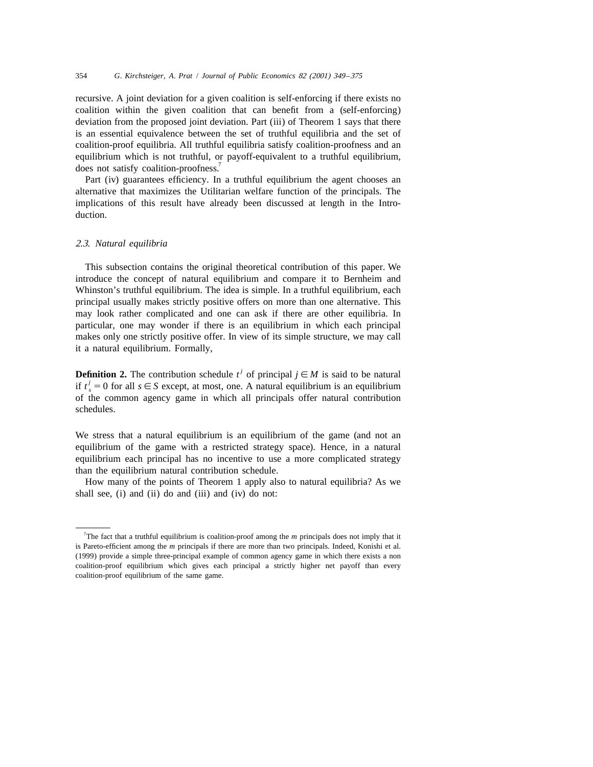recursive. A joint deviation for a given coalition is self-enforcing if there exists no coalition within the given coalition that can benefit from a (self-enforcing) deviation from the proposed joint deviation. Part (iii) of Theorem 1 says that there is an essential equivalence between the set of truthful equilibria and the set of coalition-proof equilibria. All truthful equilibria satisfy coalition-proofness and an equilibrium which is not truthful, or payoff-equivalent to a truthful equilibrium, does not satisfy coalition-proofness.<sup>7</sup>

Part (iv) guarantees efficiency. In a truthful equilibrium the agent chooses an alternative that maximizes the Utilitarian welfare function of the principals. The implications of this result have already been discussed at length in the Introduction.

#### 2.3. *Natural equilibria*

This subsection contains the original theoretical contribution of this paper. We introduce the concept of natural equilibrium and compare it to Bernheim and Whinston's truthful equilibrium. The idea is simple. In a truthful equilibrium, each principal usually makes strictly positive offers on more than one alternative. This may look rather complicated and one can ask if there are other equilibria. In particular, one may wonder if there is an equilibrium in which each principal makes only one strictly positive offer. In view of its simple structure, we may call it a natural equilibrium. Formally,

**Definition 2.** The contribution schedule  $t^j$  of principal  $j \in M$  is said to be natural if  $t^j = 0$  for all  $s \in S$  except, at most, one. A natural equilibrium is an equilibrium of the common agency game in which all principals offer natural contribution schedules.

We stress that a natural equilibrium is an equilibrium of the game (and not an equilibrium of the game with a restricted strategy space). Hence, in a natural equilibrium each principal has no incentive to use a more complicated strategy than the equilibrium natural contribution schedule.

How many of the points of Theorem 1 apply also to natural equilibria? As we shall see, (i) and (ii) do and (iii) and (iv) do not:

<sup>7</sup> The fact that a truthful equilibrium is coalition-proof among the *m* principals does not imply that it is Pareto-efficient among the *m* principals if there are more than two principals. Indeed, Konishi et al. (1999) provide a simple three-principal example of common agency game in which there exists a non coalition-proof equilibrium which gives each principal a strictly higher net payoff than every coalition-proof equilibrium of the same game.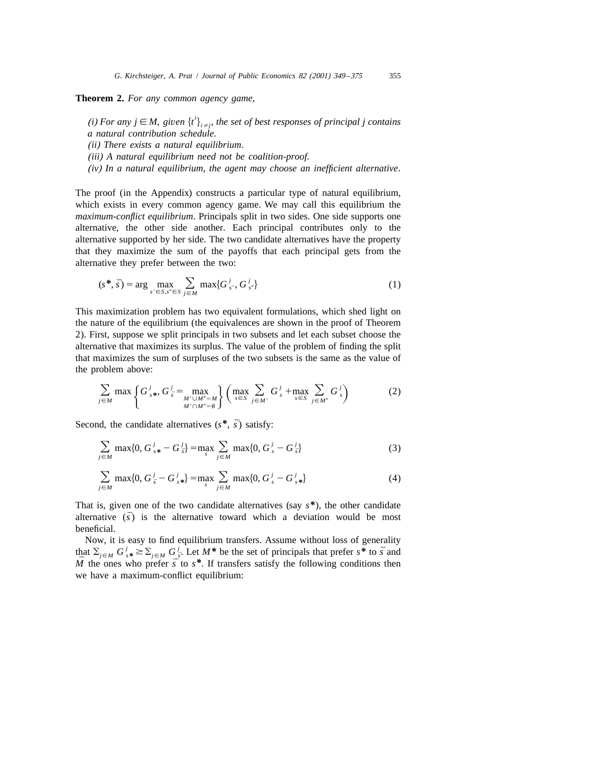**Theorem 2.** *For any common agency game*,

*(i)* For any  $j \in M$ , given  $\{t^i\}_{i \neq j}$ , the set of best responses of principal j contains *a natural contribution schedule*. (*ii*) *There exists a natural equilibrium*.

(*iii*) *A natural equilibrium need not be coalition*-*proof*.

(*iv*) *In a natural equilibrium*, *the agent may choose an inefficient alternative*.

The proof (in the Appendix) constructs a particular type of natural equilibrium, which exists in every common agency game. We may call this equilibrium the *maximum*-*conflict equilibrium*. Principals split in two sides. One side supports one alternative, the other side another. Each principal contributes only to the alternative supported by her side. The two candidate alternatives have the property that they maximize the sum of the payoffs that each principal gets from the alternative they prefer between the two:

$$
(s^*, \bar{s}) = \arg \max_{s' \in S, s'' \in S} \sum_{j \in M} \max \{ G^j_{s'}, G^j_{s''} \}
$$
 (1)

This maximization problem has two equivalent formulations, which shed light on the nature of the equilibrium (the equivalences are shown in the proof of Theorem 2). First, suppose we split principals in two subsets and let each subset choose the alternative that maximizes its surplus. The value of the problem of finding the split that maximizes the sum of surpluses of the two subsets is the same as the value of the problem above:

$$
\sum_{j \in M} \max \left\{ G_{s*}^j, G_{\bar{s}}^j = \max_{\substack{M' \cup M'' = M \\ M' \cap M'' = \emptyset}} \right\} \left( \max_{s \in S} \sum_{j \in M'} G_s^j + \max_{s \in S} \sum_{j \in M''} G_s^j \right) \tag{2}
$$

Second, the candidate alternatives  $(s^*, \bar{s})$  satisfy:

$$
\sum_{j \in M} \max\{0, G_{s*}^j - G_{\bar{s}}^j\} = \max_{s} \sum_{j \in M} \max\{0, G_{s}^j - G_{\bar{s}}^j\} \tag{3}
$$

$$
\sum_{j \in M} \max\{0, G_{\bar{s}}^j - G_{s*}^j\} = \max_{s} \sum_{j \in M} \max\{0, G_{s}^j - G_{s*}^j\} \tag{4}
$$

That is, given one of the two candidate alternatives (say *s\**), the other candidate alternative  $(\bar{s})$  is the alternative toward which a deviation would be most beneficial.

Now, it is easy to find equilibrium transfers. Assume without loss of generality *i* that  $\sum_{j \in M} G_{s*}^{j} \ge \sum_{j \in M} G_{\bar{s}}^{j}$ . Let  $M^*$  be the set of principals that prefer  $s^*$  to  $\bar{s}$  and  $\overline{M}$  the ones who prefer  $\overline{s}$  to  $s^*$ . If transfers satisfy the following conditions then we have a maximum-conflict equilibrium: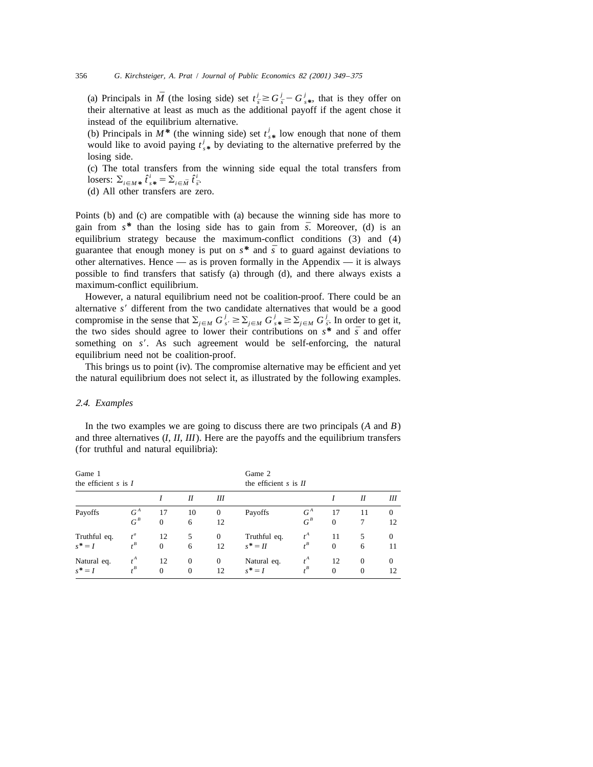(a) Principals in  $\overline{M}$  (the losing side) set  $t_{\overline{s}}^j \geq G_{\overline{s}}^j - G_{s*}^j$ , that is they offer on their alternative at least as much as the additional payoff if the agent chose it instead of the equilibrium alternative.

(b) Principals in  $M^*$  (the winning side) set  $t_{s*}^j$  low enough that none of them would like to avoid paying  $t_{s*}^j$  by deviating to the alternative preferred by the losing side.

(c) The total transfers from the winning side equal the total transfers from losers:  $\sum_{i \in M^*} \hat{t}_{s^*}^i = \sum_{i \in \bar{M}} \hat{t}_{\bar{s}}^i$ .

(d) All other transfers are zero.

Points (b) and (c) are compatible with (a) because the winning side has more to gain from  $s^*$  than the losing side has to gain from  $\bar{s}$ . Moreover, (d) is an equilibrium strategy because the maximum-conflict conditions (3) and (4) guarantee that enough money is put on  $s^*$  and  $\bar{s}$  to guard against deviations to other alternatives. Hence  $\frac{1}{x}$  as is proven formally in the Appendix  $\frac{1}{x}$  it is always possible to find transfers that satisfy (a) through (d), and there always exists a maximum-conflict equilibrium.

However, a natural equilibrium need not be coalition-proof. There could be an alternative  $s'$  different from the two candidate alternatives that would be a good *compromise in the sense that*  $\sum_{j \in M} G_{s'}^{j} \geq \sum_{j \in M} G_{s'}^{j} \geq \sum_{j \in M} G_{\bar{s}}^{j}$ . In order to get it, the two sides should agree to lower their contributions on  $s^*$  and  $\bar{s}$  and offer something on  $s'$ . As such agreement would be self-enforcing, the natural equilibrium need not be coalition-proof.

This brings us to point (iv). The compromise alternative may be efficient and yet the natural equilibrium does not select it, as illustrated by the following examples.

### 2.4. *Examples*

In the two examples we are going to discuss there are two principals (*A* and *B*) and three alternatives (*I*, *II*, *III*). Here are the payoffs and the equilibrium transfers (for truthful and natural equilibria):

| Game 1<br>the efficient $s$ is $I$ |                |                      |                              | Game 2<br>the efficient $s$ is $II$ |                           |                |                    |                      |                |
|------------------------------------|----------------|----------------------|------------------------------|-------------------------------------|---------------------------|----------------|--------------------|----------------------|----------------|
|                                    |                |                      | Н                            | Ш                                   |                           |                |                    | Н                    | Ш              |
| Payoffs                            | $G^A$<br>$G^B$ | 17<br>$\overline{0}$ | 10<br>6                      | $\theta$<br>12                      | Payoffs                   | $G^A$<br>$G^B$ | 17<br>$\mathbf{0}$ | 11<br>7              | $\Omega$<br>12 |
| Truthful eq.<br>$s^* = I$          | $t^a$<br>$t^B$ | 12<br>$\Omega$       | 5<br>6                       | $\theta$<br>12                      | Truthful eq.<br>$s^* = H$ | $t^A$          | 11<br>$\mathbf{0}$ | 5<br>6               | $\Omega$<br>11 |
| Natural eq.<br>$s^* = I$           | $t^A$          | 12<br>$\Omega$       | $\mathbf{0}$<br>$\mathbf{0}$ | $\mathbf{0}$<br>12                  | Natural eq.<br>$s^* = I$  | $t^A$          | 12<br>$\mathbf{0}$ | $\Omega$<br>$\theta$ | $\Omega$<br>12 |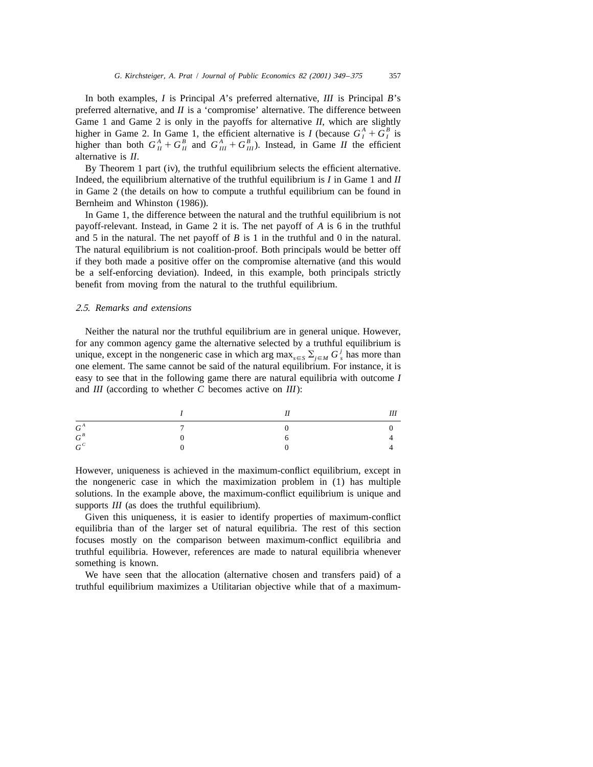In both examples, *I* is Principal *A*'s preferred alternative, *III* is Principal *B*'s preferred alternative, and *II* is a 'compromise' alternative. The difference between Game 1 and Game 2 is only in the payoffs for alternative *II*, which are slightly higher in Game 2. In Game 1, the efficient alternative is *I* (because  $G_I^A + G_I^B$  is higher than both  $G_{II}^A + G_{II}^B$  and  $G_{III}^A + G_{III}^B$ ) alternative is *II*.

By Theorem 1 part (iv), the truthful equilibrium selects the efficient alternative. Indeed, the equilibrium alternative of the truthful equilibrium is *I* in Game 1 and *II* in Game 2 (the details on how to compute a truthful equilibrium can be found in Bernheim and Whinston (1986)).

In Game 1, the difference between the natural and the truthful equilibrium is not payoff-relevant. Instead, in Game 2 it is. The net payoff of *A* is 6 in the truthful and 5 in the natural. The net payoff of  $B$  is 1 in the truthful and 0 in the natural. The natural equilibrium is not coalition-proof. Both principals would be better off if they both made a positive offer on the compromise alternative (and this would be a self-enforcing deviation). Indeed, in this example, both principals strictly benefit from moving from the natural to the truthful equilibrium.

# 2.5. *Remarks and extensions*

Neither the natural nor the truthful equilibrium are in general unique. However, for any common agency game the alternative selected by a truthful equilibrium is unique, except in the nongeneric case in which arg max<sub> $s \in S$ </sub>  $\sum_{i \in M} G_s^j$  has more than one element. The same cannot be said of the natural equilibrium. For instance, it is easy to see that in the following game there are natural equilibria with outcome *I* and *III* (according to whether *C* becomes active on *III*):

|       |                | II             | Ш |
|-------|----------------|----------------|---|
| $G^A$ | $\overline{7}$ | $\overline{0}$ |   |
| $G^B$ |                |                |   |
| $G^C$ |                |                |   |

However, uniqueness is achieved in the maximum-conflict equilibrium, except in the nongeneric case in which the maximization problem in (1) has multiple solutions. In the example above, the maximum-conflict equilibrium is unique and supports *III* (as does the truthful equilibrium).

Given this uniqueness, it is easier to identify properties of maximum-conflict equilibria than of the larger set of natural equilibria. The rest of this section focuses mostly on the comparison between maximum-conflict equilibria and truthful equilibria. However, references are made to natural equilibria whenever something is known.

We have seen that the allocation (alternative chosen and transfers paid) of a truthful equilibrium maximizes a Utilitarian objective while that of a maximum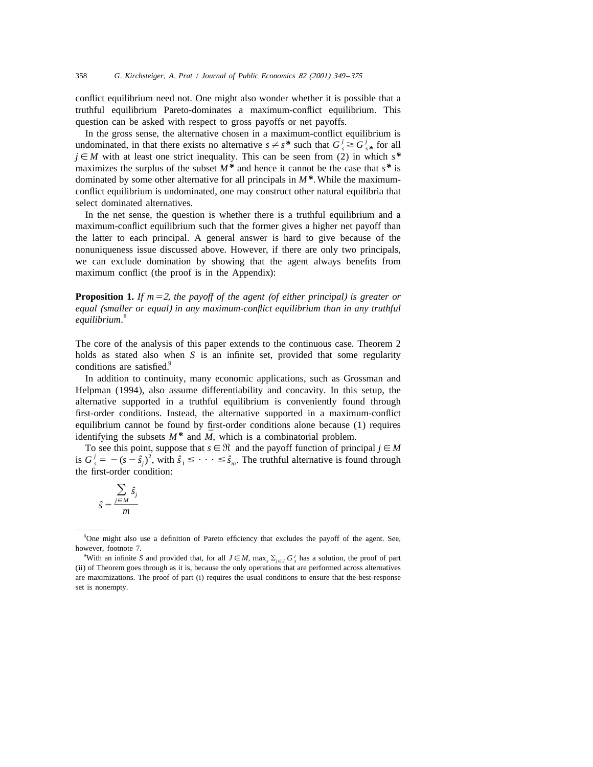conflict equilibrium need not. One might also wonder whether it is possible that a truthful equilibrium Pareto-dominates a maximum-conflict equilibrium. This question can be asked with respect to gross payoffs or net payoffs.

In the gross sense, the alternative chosen in a maximum-conflict equilibrium is undominated, in that there exists no alternative  $s \neq s^*$  such that  $G_s^j \geq G_{s^*}^j$  for all  $j \in M$  with at least one strict inequality. This can be seen from (2) in which  $s^*$ maximizes the surplus of the subset  $M^*$  and hence it cannot be the case that  $s^*$  is dominated by some other alternative for all principals in *M\**. While the maximumconflict equilibrium is undominated, one may construct other natural equilibria that select dominated alternatives.

In the net sense, the question is whether there is a truthful equilibrium and a maximum-conflict equilibrium such that the former gives a higher net payoff than the latter to each principal. A general answer is hard to give because of the nonuniqueness issue discussed above. However, if there are only two principals, we can exclude domination by showing that the agent always benefits from maximum conflict (the proof is in the Appendix):

**Proposition 1.** *If m* $=$ 2, *the payoff of the agent (of either principal) is greater or equal* (*smaller or equal*) *in any maximum*-*conflict equilibrium than in any truthful* <sup>8</sup> *equilibrium*.

The core of the analysis of this paper extends to the continuous case. Theorem 2 holds as stated also when *S* is an infinite set, provided that some regularity conditions are satisfied.<sup>9</sup>

In addition to continuity, many economic applications, such as Grossman and Helpman (1994), also assume differentiability and concavity. In this setup, the alternative supported in a truthful equilibrium is conveniently found through first-order conditions. Instead, the alternative supported in a maximum-conflict equilibrium cannot be found by first-order conditions alone because (1) requires *identifying the subsets*  $M^*$  and  $\overline{M}$ , which is a combinatorial problem.

To see this point, suppose that  $s \in \mathcal{R}$  and the payoff function of principal  $j \in M$ is  $G_s^j = -(s - \hat{s}_j)^2$ , with  $\hat{s}_1 \leq \cdots \leq \hat{s}_m$ . The truthful alternative is found through the first-order condition:

$$
\hat{s} = \frac{\sum_{j \in M} \hat{s}_j}{m}
$$

<sup>&</sup>lt;sup>8</sup>One might also use a definition of Pareto efficiency that excludes the payoff of the agent. See, however, footnote 7.

<sup>&</sup>lt;sup>9</sup>With an infinite *S* and provided that, for all  $J \in M$ , max,  $\Sigma_{i \in J} G_s^j$  has a solution, the proof of part (ii) of Theorem goes through as it is, because the only operations that are performed across alternatives are maximizations. The proof of part (i) requires the usual conditions to ensure that the best-response set is nonempty.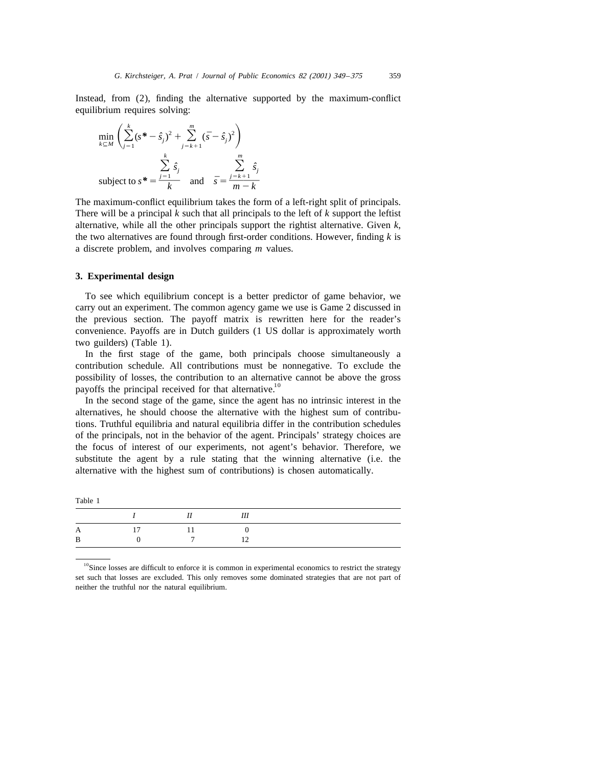Instead, from (2), finding the alternative supported by the maximum-conflict equilibrium requires solving:

$$
\min_{k \subseteq M} \left( \sum_{j=1}^{k} (s^* - \hat{s}_j)^2 + \sum_{j=k+1}^{m} (\bar{s} - \hat{s}_j)^2 \right)
$$
  
subject to  $s^* = \frac{\sum_{j=1}^{k} \hat{s}_j}{k}$  and  $\bar{s} = \frac{\sum_{j=k+1}^{m} \hat{s}_j}{m - k}$ 

The maximum-conflict equilibrium takes the form of a left-right split of principals. There will be a principal *k* such that all principals to the left of *k* support the leftist alternative, while all the other principals support the rightist alternative. Given *k*, the two alternatives are found through first-order conditions. However, finding *k* is a discrete problem, and involves comparing *m* values.

### **3. Experimental design**

To see which equilibrium concept is a better predictor of game behavior, we carry out an experiment. The common agency game we use is Game 2 discussed in the previous section. The payoff matrix is rewritten here for the reader's convenience. Payoffs are in Dutch guilders (1 US dollar is approximately worth two guilders) (Table 1).

In the first stage of the game, both principals choose simultaneously a contribution schedule. All contributions must be nonnegative. To exclude the possibility of losses, the contribution to an alternative cannot be above the gross payoffs the principal received for that alternative.<sup>10</sup>

In the second stage of the game, since the agent has no intrinsic interest in the alternatives, he should choose the alternative with the highest sum of contributions. Truthful equilibria and natural equilibria differ in the contribution schedules of the principals, not in the behavior of the agent. Principals' strategy choices are the focus of interest of our experiments, not agent's behavior. Therefore, we substitute the agent by a rule stating that the winning alternative (i.e. the alternative with the highest sum of contributions) is chosen automatically.

|   | $\boldsymbol{I}$ and $\boldsymbol{I}$ and $\boldsymbol{I}$ | II    | III |  |
|---|------------------------------------------------------------|-------|-----|--|
|   |                                                            | $-11$ |     |  |
| B | $\mathbf{u}$                                               | 7     |     |  |

<sup>&</sup>lt;sup>10</sup>Since losses are difficult to enforce it is common in experimental economics to restrict the strategy set such that losses are excluded. This only removes some dominated strategies that are not part of neither the truthful nor the natural equilibrium.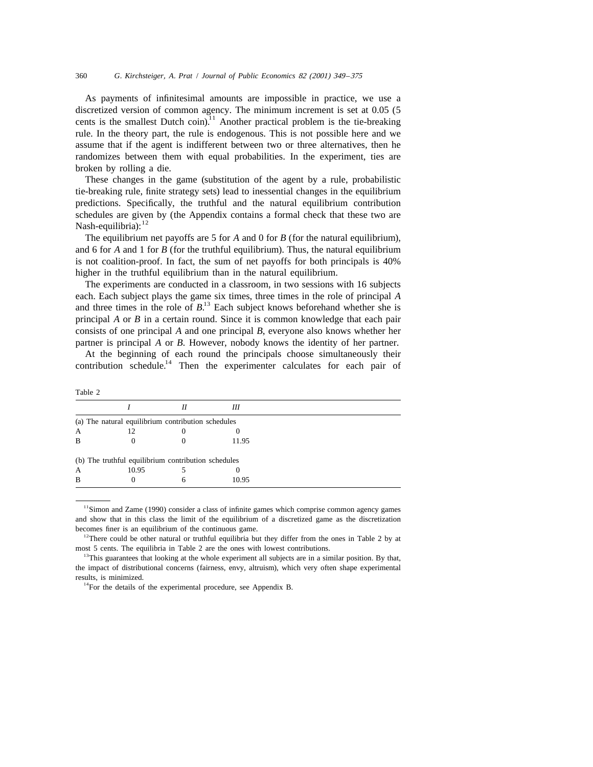As payments of infinitesimal amounts are impossible in practice, we use a discretized version of common agency. The minimum increment is set at  $0.05$  (5 cents is the smallest Dutch coin).<sup>11</sup> Another practical problem is the tie-breaking rule. In the theory part, the rule is endogenous. This is not possible here and we assume that if the agent is indifferent between two or three alternatives, then he randomizes between them with equal probabilities. In the experiment, ties are broken by rolling a die.

These changes in the game (substitution of the agent by a rule, probabilistic tie-breaking rule, finite strategy sets) lead to inessential changes in the equilibrium predictions. Specifically, the truthful and the natural equilibrium contribution schedules are given by (the Appendix contains a formal check that these two are Nash-equilibria):  $12$ 

The equilibrium net payoffs are 5 for *A* and 0 for *B* (for the natural equilibrium), and 6 for *A* and 1 for *B* (for the truthful equilibrium). Thus, the natural equilibrium is not coalition-proof. In fact, the sum of net payoffs for both principals is 40% higher in the truthful equilibrium than in the natural equilibrium.

The experiments are conducted in a classroom, in two sessions with 16 subjects each. Each subject plays the game six times, three times in the role of principal *A* and three times in the role of  $B$ <sup>13</sup>. Each subject knows beforehand whether she is principal *A* or *B* in a certain round. Since it is common knowledge that each pair consists of one principal *A* and one principal *B*, everyone also knows whether her partner is principal *A* or *B*. However, nobody knows the identity of her partner.

At the beginning of each round the principals choose simultaneously their contribution schedule.<sup>14</sup> Then the experimenter calculates for each pair of

|   |                                                     | Н | Ш     |  |  |
|---|-----------------------------------------------------|---|-------|--|--|
|   | (a) The natural equilibrium contribution schedules  |   |       |  |  |
| А | 12                                                  |   |       |  |  |
| B |                                                     |   | 11.95 |  |  |
|   | (b) The truthful equilibrium contribution schedules |   |       |  |  |
| А | 10.95                                               |   |       |  |  |
| B |                                                     |   | 10.95 |  |  |

<sup>&</sup>lt;sup>11</sup>Simon and Zame (1990) consider a class of infinite games which comprise common agency games and show that in this class the limit of the equilibrium of a discretized game as the discretization becomes finer is an equilibrium of the continuous game.

Table 2

<sup>&</sup>lt;sup>12</sup>There could be other natural or truthful equilibria but they differ from the ones in Table 2 by at most 5 cents. The equilibria in Table 2 are the ones with lowest contributions.

<sup>&</sup>lt;sup>13</sup>This guarantees that looking at the whole experiment all subjects are in a similar position. By that, the impact of distributional concerns (fairness, envy, altruism), which very often shape experimental results, is minimized.

 $14$ For the details of the experimental procedure, see Appendix B.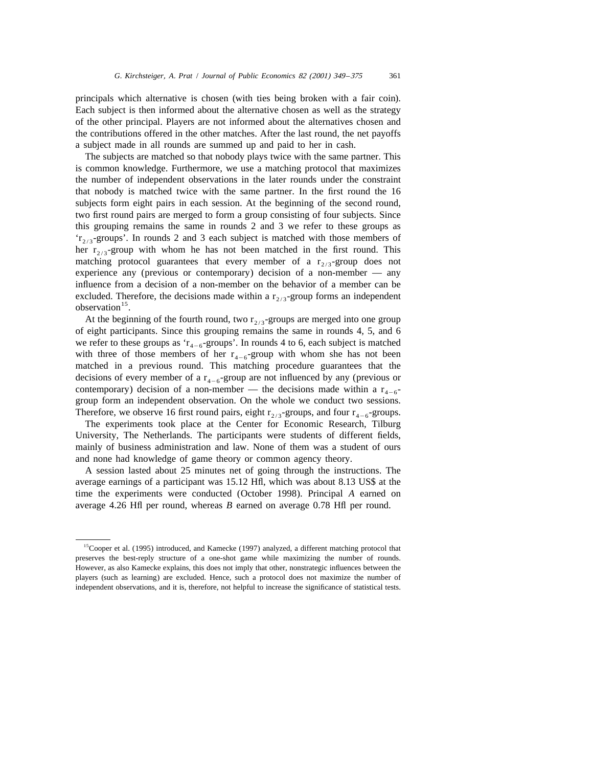principals which alternative is chosen (with ties being broken with a fair coin). Each subject is then informed about the alternative chosen as well as the strategy of the other principal. Players are not informed about the alternatives chosen and the contributions offered in the other matches. After the last round, the net payoffs a subject made in all rounds are summed up and paid to her in cash.

The subjects are matched so that nobody plays twice with the same partner. This is common knowledge. Furthermore, we use a matching protocol that maximizes the number of independent observations in the later rounds under the constraint that nobody is matched twice with the same partner. In the first round the 16 subjects form eight pairs in each session. At the beginning of the second round, two first round pairs are merged to form a group consisting of four subjects. Since this grouping remains the same in rounds 2 and 3 we refer to these groups as ' $r_{2/3}$ -groups'. In rounds 2 and 3 each subject is matched with those members of her  $r_{2/3}$ -group with whom he has not been matched in the first round. This matching protocol guarantees that every member of a  $r_{2/3}$ -group does not experience any (previous or contemporary) decision of a non-member — any influence from a decision of a non-member on the behavior of a member can be excluded. Therefore, the decisions made within a  $r_{2/3}$ -group forms an independent observation <sup>15</sup>.

At the beginning of the fourth round, two  $r_{2/3}$ -groups are merged into one group of eight participants. Since this grouping remains the same in rounds 4, 5, and 6 we refer to these groups as ' $r_{4-6}$ -groups'. In rounds 4 to 6, each subject is matched with three of those members of her  $r_{4-6}$ -group with whom she has not been matched in a previous round. This matching procedure guarantees that the decisions of every member of a  $r_{4-6}$ -group are not influenced by any (previous or contemporary) decision of a non-member — the decisions made within a  $r_{4-6}$ group form an independent observation. On the whole we conduct two sessions. Therefore, we observe 16 first round pairs, eight  $r_{2/3}$ -groups, and four  $r_{4-6}$ -groups.

The experiments took place at the Center for Economic Research, Tilburg University, The Netherlands. The participants were students of different fields, mainly of business administration and law. None of them was a student of ours and none had knowledge of game theory or common agency theory.

A session lasted about 25 minutes net of going through the instructions. The average earnings of a participant was 15.12 Hfl, which was about 8.13 US\$ at the time the experiments were conducted (October 1998). Principal *A* earned on average 4.26 Hfl per round, whereas *B* earned on average 0.78 Hfl per round.

<sup>&</sup>lt;sup>15</sup>Cooper et al. (1995) introduced, and Kamecke (1997) analyzed, a different matching protocol that preserves the best-reply structure of a one-shot game while maximizing the number of rounds. However, as also Kamecke explains, this does not imply that other, nonstrategic influences between the players (such as learning) are excluded. Hence, such a protocol does not maximize the number of independent observations, and it is, therefore, not helpful to increase the significance of statistical tests.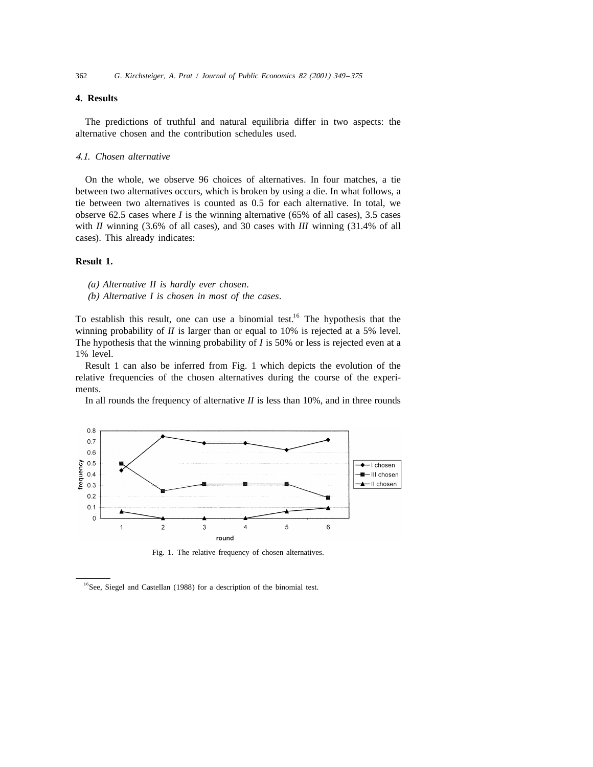# **4. Results**

The predictions of truthful and natural equilibria differ in two aspects: the alternative chosen and the contribution schedules used.

### 4.1. *Chosen alternative*

On the whole, we observe 96 choices of alternatives. In four matches, a tie between two alternatives occurs, which is broken by using a die. In what follows, a tie between two alternatives is counted as 0.5 for each alternative. In total, we observe 62.5 cases where *I* is the winning alternative (65% of all cases), 3.5 cases with *II* winning (3.6% of all cases), and 30 cases with *III* winning (31.4% of all cases). This already indicates:

## **Result 1.**

(*a*) *Alternative II is hardly ever chosen*.

(*b*) *Alternative I is chosen in most of the cases*.

To establish this result, one can use a binomial test.<sup>16</sup> The hypothesis that the winning probability of *II* is larger than or equal to 10% is rejected at a 5% level. The hypothesis that the winning probability of *I* is 50% or less is rejected even at a 1% level.

Result 1 can also be inferred from Fig. 1 which depicts the evolution of the relative frequencies of the chosen alternatives during the course of the experiments.

In all rounds the frequency of alternative *II* is less than 10%, and in three rounds



Fig. 1. The relative frequency of chosen alternatives.

<sup>&</sup>lt;sup>16</sup>See, Siegel and Castellan (1988) for a description of the binomial test.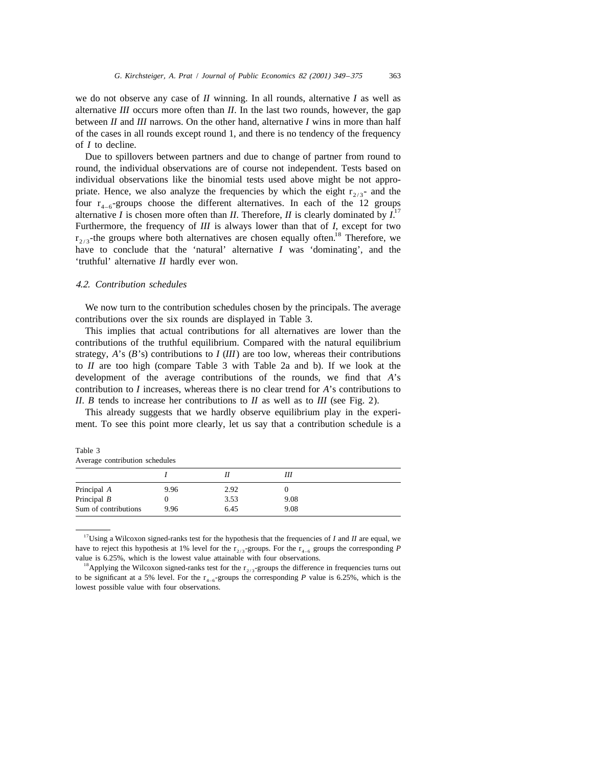we do not observe any case of *II* winning. In all rounds, alternative *I* as well as alternative *III* occurs more often than *II*. In the last two rounds, however, the gap between *II* and *III* narrows. On the other hand, alternative *I* wins in more than half of the cases in all rounds except round 1, and there is no tendency of the frequency of *I* to decline.

Due to spillovers between partners and due to change of partner from round to round, the individual observations are of course not independent. Tests based on individual observations like the binomial tests used above might be not appropriate. Hence, we also analyze the frequencies by which the eight  $r_{2/3}$ - and the four  $r_{4-6}$ -groups choose the different alternatives. In each of the 12 groups alternative *I* is chosen more often than *II*. Therefore, *II* is clearly dominated by  $I^{\perp}$ Furthermore, the frequency of *III* is always lower than that of *I*, except for two  $r_{2/3}$ -the groups where both alternatives are chosen equally often.<sup>18</sup> Therefore, we have to conclude that the 'natural' alternative *I* was 'dominating', and the 'truthful' alternative *II* hardly ever won.

### 4.2. *Contribution schedules*

We now turn to the contribution schedules chosen by the principals. The average contributions over the six rounds are displayed in Table 3.

This implies that actual contributions for all alternatives are lower than the contributions of the truthful equilibrium. Compared with the natural equilibrium strategy, *A*'s (*B*'s) contributions to *I* (*III*) are too low, whereas their contributions to *II* are too high (compare Table 3 with Table 2a and b). If we look at the development of the average contributions of the rounds, we find that *A*'s contribution to *I* increases, whereas there is no clear trend for *A*'s contributions to *II*. *B* tends to increase her contributions to *II* as well as to *III* (see Fig. 2).

This already suggests that we hardly observe equilibrium play in the experiment. To see this point more clearly, let us say that a contribution schedule is a

| Average contribution schedules |      |      |      |  |  |
|--------------------------------|------|------|------|--|--|
|                                |      |      | Ш    |  |  |
| Principal A                    | 9.96 | 2.92 |      |  |  |
| Principal $B$                  |      | 3.53 | 9.08 |  |  |
| Sum of contributions           | 9.96 | 6.45 | 9.08 |  |  |

| Table 3 |                                |  |
|---------|--------------------------------|--|
|         | Average contribution schedules |  |

<sup>17</sup>Using a Wilcoxon signed-ranks test for the hypothesis that the frequencies of *I* and *II* are equal, we have to reject this hypothesis at 1% level for the  $r_{2/3}$ -groups. For the  $r_{4-6}$  groups the corresponding P value is 6.25%, which is the lowest value attainable with four observations.

<sup>&</sup>lt;sup>18</sup>Applying the Wilcoxon signed-ranks test for the  $r_{2/3}$ -groups the difference in frequencies turns out to be significant at a 5% level. For the  $r_{4-6}$ -groups the corresponding *P* value is 6.25%, which is the lowest possible value with four observations.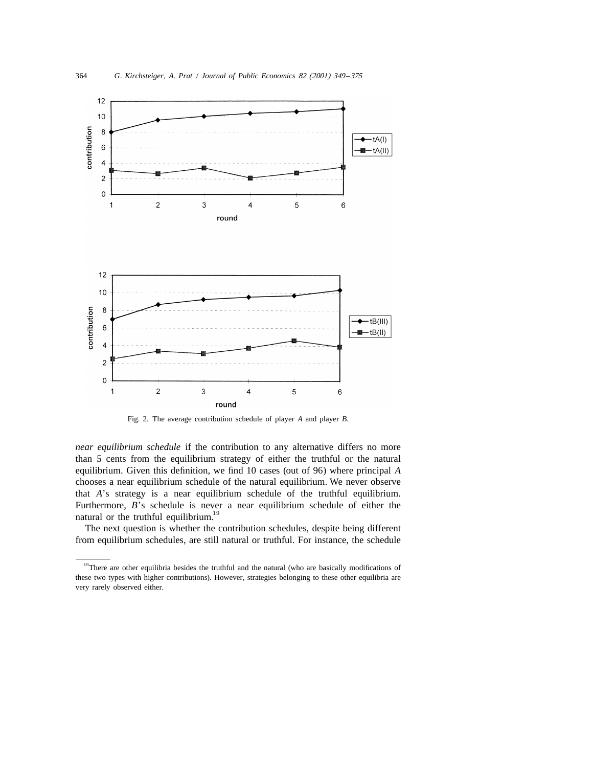

Fig. 2. The average contribution schedule of player *A* and player *B*.

*near equilibrium schedule* if the contribution to any alternative differs no more than 5 cents from the equilibrium strategy of either the truthful or the natural equilibrium. Given this definition, we find 10 cases (out of 96) where principal *A* chooses a near equilibrium schedule of the natural equilibrium. We never observe that *A*'s strategy is a near equilibrium schedule of the truthful equilibrium. Furthermore,  $B$ 's schedule is never a near equilibrium schedule of either the natural or the truthful equilibrium.<sup>19</sup>

The next question is whether the contribution schedules, despite being different from equilibrium schedules, are still natural or truthful. For instance, the schedule

<sup>&</sup>lt;sup>19</sup>There are other equilibria besides the truthful and the natural (who are basically modifications of these two types with higher contributions). However, strategies belonging to these other equilibria are very rarely observed either.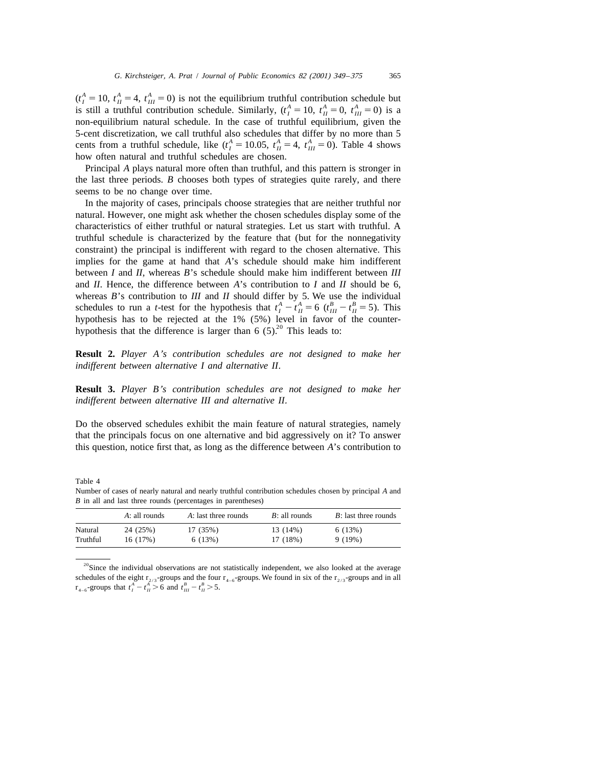$(t_I^A = 10, t_{II}^A = 4, t_{III}^A = 0)$  is not the equilibrium truthful contribution schedule but<br>is still a truthful contribution schedule. Similarly,  $(t_I^A = 10, t_{II}^A = 0, t_{III}^A = 0)$  is a non-equilibrium natural schedule. In the case of truthful equilibrium, given the 5-cent discretization, we call truthful also schedules that differ by no more than 5 cents from a truthful schedule, like  $(t_I^A = 10.05, t_{II}^A = 4, t_{III}^A = 0)$ . Table 4 shows how often natural and truthful schedules are chosen.

Principal *A* plays natural more often than truthful, and this pattern is stronger in the last three periods. *B* chooses both types of strategies quite rarely, and there seems to be no change over time.

In the majority of cases, principals choose strategies that are neither truthful nor natural. However, one might ask whether the chosen schedules display some of the characteristics of either truthful or natural strategies. Let us start with truthful. A truthful schedule is characterized by the feature that (but for the nonnegativity constraint) the principal is indifferent with regard to the chosen alternative. This implies for the game at hand that *A*'s schedule should make him indifferent between *I* and *II*, whereas *B*'s schedule should make him indifferent between *III* and *II*. Hence, the difference between *A*'s contribution to *I* and *II* should be 6, whereas *B*'s contribution to *III* and *II* should differ by 5. We use the individual schedules to run a *t*-test for the hypothesis that  $t_1^A - t_{II}^A = 6$  ( $t_{III}^B - t_{II}^B = 5$ ). This hypothesis has to be rejected at the hypothesis that the difference is larger than 6  $(5)$ .<sup>20</sup> This leads to:

**Result 2.** *Player A*'*s contribution schedules are not designed to make her indifferent between alternative I and alternative II*.

**Result 3.** *Player B*'*s contribution schedules are not designed to make her indifferent between alternative III and alternative II*.

Do the observed schedules exhibit the main feature of natural strategies, namely that the principals focus on one alternative and bid aggressively on it? To answer this question, notice first that, as long as the difference between *A*'s contribution to

|          | D in an and last three rounds (percentages in parentheses) |                      |                 |                      |  |  |  |
|----------|------------------------------------------------------------|----------------------|-----------------|----------------------|--|--|--|
|          | A: all rounds                                              | A: last three rounds | $B:$ all rounds | B: last three rounds |  |  |  |
| Natural  | 24 (25%)                                                   | 17 (35%)             | 13 (14%)        | 6(13%)               |  |  |  |
| Truthful | 16 (17%)                                                   | 6(13%)               | 17 (18%)        | 9 (19%)              |  |  |  |

Table 4

Number of cases of nearly natural and nearly truthful contribution schedules chosen by principal *A* and *B* in all and last three rounds (percentages in par

 $20$ Since the individual observations are not statistically independent, we also looked at the average schedules of the eight  $r_{2/3}$ -groups and the four  $r_{4-6}$ -groups. We found in six of the  $r_{2/3}$ -groups and in all  $r_{4-6}$ -groups that  $t_1^A - t_{11}^A > 6$  and  $t_{11}^B - t_{11}^B > 5$ .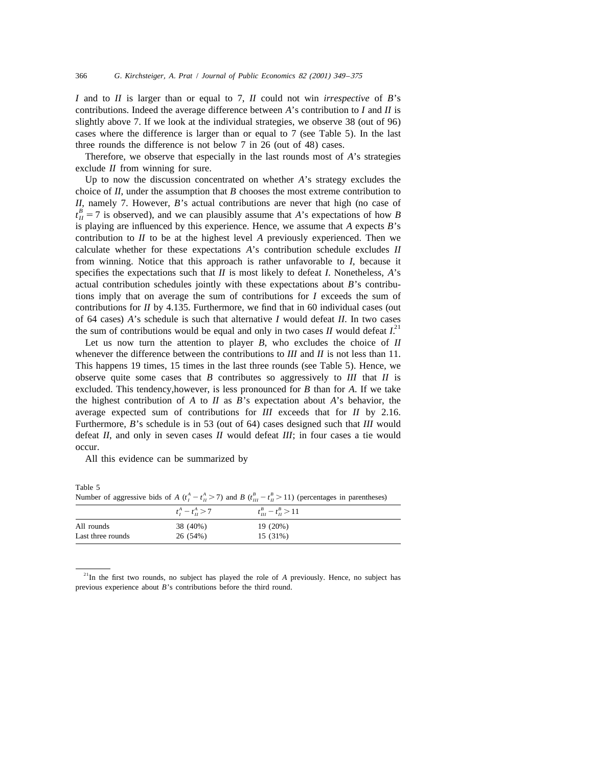*I* and to *II* is larger than or equal to 7, *II* could not win *irrespective* of *B*'s contributions. Indeed the average difference between *A*'s contribution to *I* and *II* is slightly above 7. If we look at the individual strategies, we observe 38 (out of 96) cases where the difference is larger than or equal to 7 (see Table 5). In the last three rounds the difference is not below 7 in 26 (out of 48) cases.

Therefore, we observe that especially in the last rounds most of *A*'s strategies exclude *II* from winning for sure.

Up to now the discussion concentrated on whether *A*'s strategy excludes the choice of *II*, under the assumption that *B* chooses the most extreme contribution to *II*, namely 7. However, *<sup>B</sup>*'s actual contributions are never that high (no case of *<sup>B</sup>*  $t<sub>H</sub><sup>B</sup> = 7$  is observed), and we can plausibly assume that *A*'s expectations of how *B* is playing are influenced by this experience. Hence, we assume that *A* expects *B*'s contribution to *II* to be at the highest level *A* previously experienced. Then we calculate whether for these expectations *A*'s contribution schedule excludes *II* from winning. Notice that this approach is rather unfavorable to *I*, because it specifies the expectations such that *II* is most likely to defeat *I*. Nonetheless, *A*'s actual contribution schedules jointly with these expectations about *B*'s contributions imply that on average the sum of contributions for *I* exceeds the sum of contributions for *II* by 4.135. Furthermore, we find that in 60 individual cases (out of 64 cases) *A*'s schedule is such that alternative *I* would defeat *II*. In two cases the sum of contributions would be equal and only in two cases *II* would defeat  $I<sup>21</sup>$ .

Let us now turn the attention to player *B*, who excludes the choice of *II* whenever the difference between the contributions to *III* and *II* is not less than 11. This happens 19 times, 15 times in the last three rounds (see Table 5). Hence, we observe quite some cases that *B* contributes so aggressively to *III* that *II* is excluded. This tendency,however, is less pronounced for *B* than for *A*. If we take the highest contribution of *A* to *II* as *B*'s expectation about *A*'s behavior, the average expected sum of contributions for *III* exceeds that for *II* by 2.16. Furthermore, *B*'s schedule is in 53 (out of 64) cases designed such that *III* would defeat *II*, and only in seven cases *II* would defeat *III*; in four cases a tie would occur.

All this evidence can be summarized by

|                   |                     | Trainoci of aggressive bias of $\pi$ ( $\eta = \eta \ge \eta$ ) and $D$ ( $\eta \equiv \eta \ge \pi$ ) (percentages in parentheses) |
|-------------------|---------------------|-------------------------------------------------------------------------------------------------------------------------------------|
|                   | $t_1^A - t_1^A > 7$ | $t_{11}^B - t_{11}^B > 11$                                                                                                          |
| All rounds        | 38 (40%)            | 19 (20%)                                                                                                                            |
| Last three rounds | 26 (54%)            | $15(31\%)$                                                                                                                          |

Table 5 *A* Number of aggressive bids of *A*  $(t^A - t^A \ge 7)$  and *B*  $(t^B - t^B \ge 11)$  (percentages in parentheses)

<sup>&</sup>lt;sup>21</sup>In the first two rounds, no subject has played the role of *A* previously. Hence, no subject has previous experience about *B*'s contributions before the third round.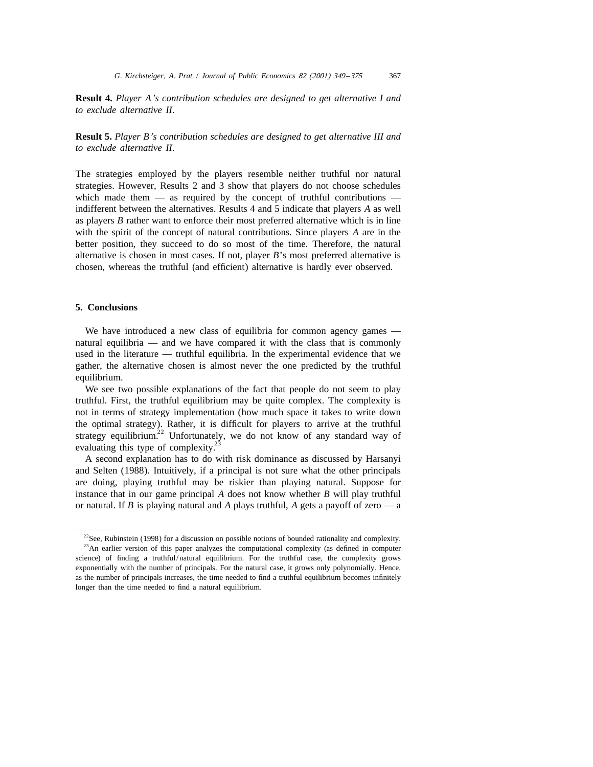**Result 4.** *Player A*'*s contribution schedules are designed to get alternative I and to exclude alternative II*.

**Result 5.** *Player B*'*s contribution schedules are designed to get alternative III and to exclude alternative II*.

The strategies employed by the players resemble neither truthful nor natural strategies. However, Results 2 and 3 show that players do not choose schedules which made them  $-$  as required by the concept of truthful contributions  $$ indifferent between the alternatives. Results 4 and 5 indicate that players *A* as well as players *B* rather want to enforce their most preferred alternative which is in line with the spirit of the concept of natural contributions. Since players *A* are in the better position, they succeed to do so most of the time. Therefore, the natural alternative is chosen in most cases. If not, player *B*'s most preferred alternative is chosen, whereas the truthful (and efficient) alternative is hardly ever observed.

# **5. Conclusions**

We have introduced a new class of equilibria for common agency games natural equilibria — and we have compared it with the class that is commonly used in the literature — truthful equilibria. In the experimental evidence that we gather, the alternative chosen is almost never the one predicted by the truthful equilibrium.

We see two possible explanations of the fact that people do not seem to play truthful. First, the truthful equilibrium may be quite complex. The complexity is not in terms of strategy implementation (how much space it takes to write down the optimal strategy). Rather, it is difficult for players to arrive at the truthful strategy equilibrium.<sup>22</sup> Unfortunately, we do not know of any standard way of evaluating this type of complexity.<sup>23</sup>

A second explanation has to do with risk dominance as discussed by Harsanyi and Selten (1988). Intuitively, if a principal is not sure what the other principals are doing, playing truthful may be riskier than playing natural. Suppose for instance that in our game principal *A* does not know whether *B* will play truthful or natural. If *B* is playing natural and *A* plays truthful, *A* gets a payoff of zero — a

 $22$ See, Rubinstein (1998) for a discussion on possible notions of bounded rationality and complexity.

<sup>&</sup>lt;sup>23</sup>An earlier version of this paper analyzes the computational complexity (as defined in computer science) of finding a truthful/natural equilibrium. For the truthful case, the complexity grows exponentially with the number of principals. For the natural case, it grows only polynomially. Hence, as the number of principals increases, the time needed to find a truthful equilibrium becomes infinitely longer than the time needed to find a natural equilibrium.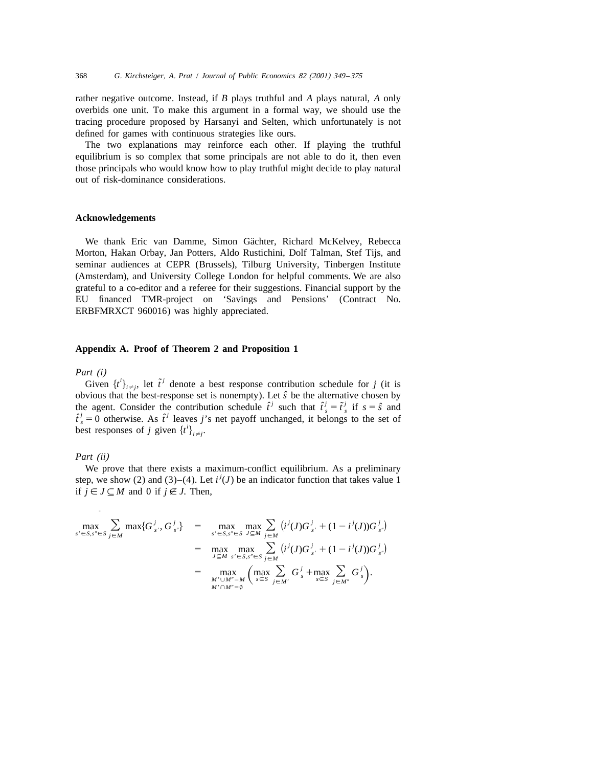rather negative outcome. Instead, if *B* plays truthful and *A* plays natural, *A* only overbids one unit. To make this argument in a formal way, we should use the tracing procedure proposed by Harsanyi and Selten, which unfortunately is not defined for games with continuous strategies like ours.

The two explanations may reinforce each other. If playing the truthful equilibrium is so complex that some principals are not able to do it, then even those principals who would know how to play truthful might decide to play natural out of risk-dominance considerations.

### **Acknowledgements**

We thank Eric van Damme, Simon Gächter, Richard McKelvey, Rebecca Morton, Hakan Orbay, Jan Potters, Aldo Rustichini, Dolf Talman, Stef Tijs, and seminar audiences at CEPR (Brussels), Tilburg University, Tinbergen Institute (Amsterdam), and University College London for helpful comments. We are also grateful to a co-editor and a referee for their suggestions. Financial support by the EU financed TMR-project on 'Savings and Pensions' (Contract No. ERBFMRXCT 960016) was highly appreciated.

### **Appendix A. Proof of Theorem 2 and Proposition 1**

#### *Part* (*i*)

Given  $\{t^i\}_{i\neq j}$ , let  $\tilde{t}^j$  denote a best response contribution schedule for *j* (it is obvious that the best-response set is nonempty). Let *sˆ* be the alternative chosen by the agent. Consider the contribution schedule  $\hat{t}^j$  such that  $\hat{t}^j_s = \hat{t}^j_s$  if  $s = \hat{s}$  and  $\hat{t}^j_s = 0$  otherwise. As  $\hat{t}^j$  leaves *j*'s net payoff unchanged, it belongs to the set of best responses of *j* given  $\{t^i\}_{i \neq j}$ .

### *Part* (*ii*)

-

We prove that there exists a maximum-conflict equilibrium. As a preliminary step, we show (2) and (3)–(4). Let  $i'(J)$  be an indicator function that takes value 1 if  $j \in J \subseteq M$  and 0 if  $j \notin J$ . Then,

$$
\max_{s' \in S, s'' \in S} \sum_{j \in M} \max \{G_{s'}^j, G_{s''}^j\} = \max_{s' \in S, s'' \in S} \max_{J \subseteq M} \sum_{j \in M} (i^j(J)G_{s'}^j + (1 - i^j(J))G_{s''}^j)
$$
  
\n
$$
= \max_{J \subseteq M} \max_{s' \in S, s'' \in S} \sum_{j \in M} (i^j(J)G_{s'}^j + (1 - i^j(J))G_{s''}^j)
$$
  
\n
$$
= \max_{\substack{J \subseteq M \\ M' \cap M'' = \emptyset}} \max_{s' \in S} \sum_{j \in M'} G_s^j + \max_{s \in S} \sum_{j \in M''} G_s^j.
$$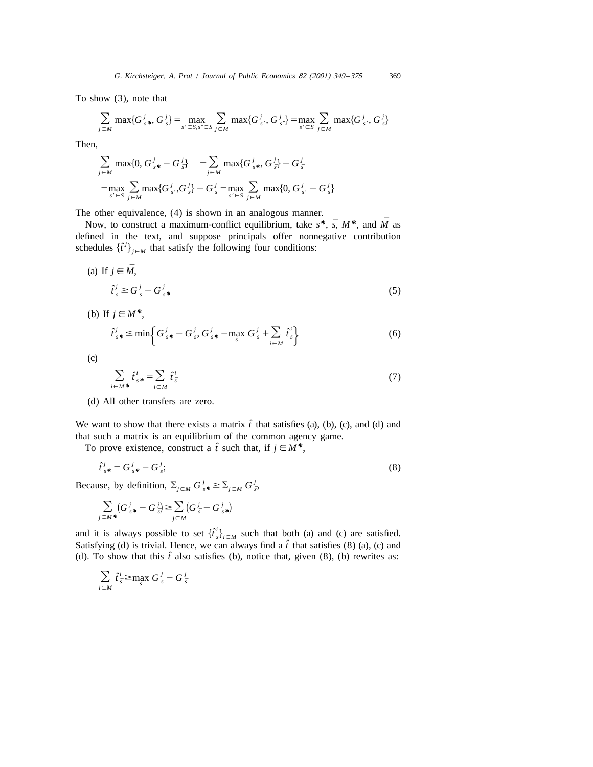To show (3), note that

$$
\sum_{j \in M} \max\{G_{s^*}^j, G_{\bar{s}}^j\} = \max_{s' \in S, s'' \in S} \sum_{j \in M} \max\{G_{s'}^j, G_{s''}^j\} = \max_{s' \in S} \sum_{j \in M} \max\{G_{s'}^j, G_{\bar{s}}^j\}
$$

Then,

$$
\sum_{j \in M} \max\{0, G_{s*}^j - G_{\bar{s}}^j\} = \sum_{j \in M} \max\{G_{s*}^j, G_{\bar{s}}^j\} - G_{\bar{s}}^j
$$
  
= 
$$
\max_{s' \in S} \sum_{j \in M} \max\{G_{s'}^j, G_{\bar{s}}^j\} - G_{\bar{s}}^j = \max_{s' \in S} \sum_{j \in M} \max\{0, G_{s'}^j - G_{\bar{s}}^j\}
$$

The other equivalence, (4) is shown in an analogous manner.<br>*Now*, to construct a maximum-conflict equilibrium, take  $s^*$ ,  $\bar{s}$ ,  $M^*$ , and  $\bar{M}$  as defined in the text, and suppose principals offer nonnegative contribution schedules  $\{\hat{t}^j\}_{j \in M}$  that satisfy the following four conditions:

(a) If 
$$
j \in \overline{M}
$$
,  
\n
$$
\hat{t}_{\overline{s}}^j \ge G_{\overline{s}}^j - G_{s*}^j
$$
\n(5)

(b) If  $j \in M^*$ ,

$$
\hat{t}_{s*}^j \le \min \left\{ G_{s*}^j - G_{\bar{s}}^j, G_{s*}^j - \max_{s} G_{s}^j + \sum_{i \in \bar{M}} \hat{t}_{\bar{s}}^i \right\} \tag{6}
$$

(c)

$$
\sum_{i \in M^*} \hat{t}_{s*}^i = \sum_{i \in \tilde{M}} \hat{t}_{s}^i \tag{7}
$$

(d) All other transfers are zero.

We want to show that there exists a matrix  $\hat{t}$  that satisfies (a), (b), (c), and (d) and that such a matrix is an equilibrium of the common agency game.

To prove existence, construct a  $\hat{t}$  such that, if  $j \in M^*$ ,

$$
\hat{t}_{s*}^j = G_{s*}^j - G_{\bar{s}}^j; \tag{8}
$$

Because, by definition,  $\sum_{j \in M} G_{s*}^j \geq \sum_{j \in M} G_{\bar{s}}^j$ ,

$$
\sum_{j \in M^*} (G_{s^*}^j - G_{\bar{s}}^j) \ge \sum_{j \in \bar{M}} (G_{\bar{s}}^j - G_{s^*}^j)
$$

and it is always possible to set  $\{t^i\}_{i\in\mathbb{N}}$  such that both (a) and (c) are satisfied. Satisfying (d) is trivial. Hence, we can always find a  $\hat{t}$  that satisfies (8) (a), (c) and (d). To show that this  $\hat{t}$  also satisfies (b), notice that, given (8), (b) rewrites as:

$$
\sum_{i\in \bar{M}}\hat{t}_{\bar{s}}^i \geq \max_{s} G_s^j - G_{\bar{s}}^j
$$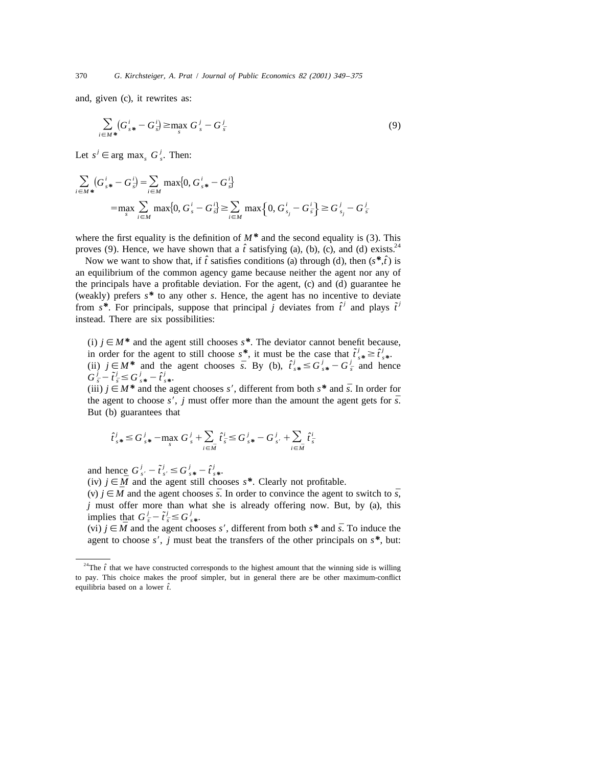and, given (c), it rewrites as:

$$
\sum_{i \in M^*} (G_{s^*}^i - G_{\bar{s}}^i) \ge \max_{s} G_{s}^j - G_{\bar{s}}^j \tag{9}
$$

Let  $s^j \in \arg \max_s G^j$ . Then:

$$
\sum_{i \in M^*} (G_{s^*}^i - G_{\bar{s}}^i) = \sum_{i \in M} \max\{0, G_{s^*}^i - G_{\bar{s}}^i\}
$$
  
= 
$$
\max_{s} \sum_{i \in M} \max\{0, G_{s}^i - G_{\bar{s}}^i\} \ge \sum_{i \in M} \max\{0, G_{s_j}^i - G_{\bar{s}}^i\} \ge G_{s_j}^i - G_{\bar{s}}^i
$$

where the first equality is the definition of  $M^*$  and the second equality is (3). This proves (9). Hence, we have shown that a  $\hat{t}$  satisfying (a), (b), (c), and (d) exists.<sup>24</sup>

Now we want to show that, if  $\hat{t}$  satisfies conditions (a) through (d), then  $(s^*, \hat{t})$  is an equilibrium of the common agency game because neither the agent nor any of the principals have a profitable deviation. For the agent, (c) and (d) guarantee he (weakly) prefers *s\** to any other *s*. Hence, the agent has no incentive to deviate from  $s^*$ . For principals, suppose that principal *j* deviates from  $\hat{t}^j$  and plays  $\tilde{t}^j$ instead. There are six possibilities:

(i)  $j \in M^*$  and the agent still chooses  $s^*$ . The deviator cannot benefit because, in order for the agent to still choose  $s^*$ , it must be the case that  $\tilde{t}^j_{s^*} \geq \hat{t}^j_s$ *i* in order for the agent to still choose  $s^*$ , it must be the case that  $\tilde{t}_{s*}^j \geq \hat{t}_{s*}^j$ .<br> *(ii)*  $j \in M^*$  and the agent chooses *s*. By *(b),*  $\hat{t}_{s*}^j \leq G_{s*}^j - G_{\bar{s}}^j$  and hen (ii)  $j \in M^*$  and the agent chooses  $\bar{s}$ . By (b),  $\hat{t}_{s*}^j \leq G_{s*}^j - G_{\bar{s}}^j$  and hence  $G_{\bar{s}}^j - \tilde{t}_{\bar{s}}^j \leq G_{s*}^j - \hat{t}_{\bar{s}}^j$ .  $G_{\bar{s}}^j - \tilde{t}_{\bar{s}}^j \leq G_{\bar{s}}^j - \hat{t}_{\bar{s}}^j$ .

*(iii)*  $j \in M^*$  and the agent chooses *s'*, different from both  $s^*$  and  $\overline{s}$ . In order for the agent to choose  $s'$ , *j* must offer more than the amount the agent gets for  $\bar{s}$ . But (b) guarantees that

$$
\hat{t}_{s*}^j \leq G_{s*}^j - \max_{s} G_s^j + \sum_{i \in \bar{M}} \hat{t}_{\bar{s}}^i \leq G_{s*}^j - G_{s'}^j + \sum_{i \in \bar{M}} \hat{t}_{\bar{s}}^i
$$

and hence  $G_s^j - \tilde{t}_s^j \leq G_s^j - \hat{t}_s^j$ 

(iv)  $j \in \overline{M}$  and the agent still chooses  $s^*$ . Clearly not profitable.<br>(v)  $j \in \overline{M}$  and the agent chooses  $\overline{s}$ . In order to convince the agent to switch to  $\overline{s}$ , *j* must offer more than what she is already offering now. But, by (a), this implies that  $G_{\overline{s}}^j - \tilde{t}_{\overline{s}}^j \leq G_{\overline{s}*}^j$ .

(vi)  $j \in \overline{M}$  and the agent chooses s', different from both s<sup>\*</sup> and  $\overline{s}$ . To induce the agent to choose  $s'$ , *j* must beat the transfers of the other principals on  $s^*$ , but:

<sup>&</sup>lt;sup>24</sup>The  $\hat{t}$  that we have constructed corresponds to the highest amount that the winning side is willing to pay. This choice makes the proof simpler, but in general there are be other maximum-conflict equilibria based on a lower *ˆt*.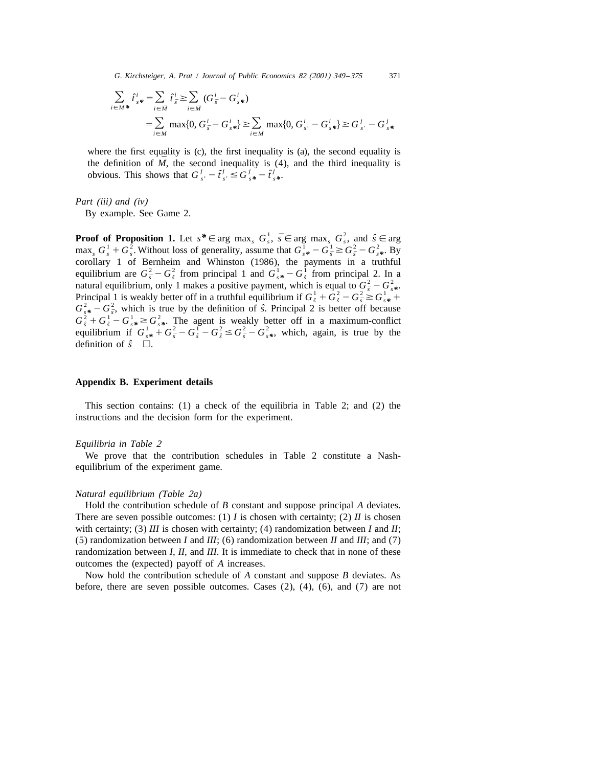*G*. *Kirchsteiger*, *A*. *Prat* / *Journal of Public Economics* <sup>82</sup> (2001) <sup>349</sup> –<sup>375</sup> 371

$$
\sum_{i \in M^*} \hat{t}_{s*}^i = \sum_{i \in \bar{M}} \hat{t}_{\bar{s}}^i \ge \sum_{i \in \bar{M}} (G_{\bar{s}}^i - G_{s*}^i)
$$
  
= 
$$
\sum_{i \in M} \max\{0, G_{\bar{s}}^i - G_{s*}^i\} \ge \sum_{i \in M} \max\{0, G_{s'}^i - G_{s*}^i\} \ge G_{s'}^j - G_{s*}^j
$$

where the first equality is (c), the first inequality is (a), the second equality is the definition of  $\overline{M}$ , the second inequality is (4), and the third inequality is *obvious.* This shows that  $G_{s'}^j - \tilde{t}_{s'}^j \leq G_{s*}^j - \hat{t}_{s*}^j$ .

*Part* (*iii*) *and* (*iv*)

By example. See Game 2.

**Proof of Proposition 1.** Let  $s^* \in \arg \max_s G_s^1$ ,  $\bar{s} \in \arg \max_s G_s^2$ , and  $\hat{s} \in \arg \max_s G_s^1 + G_s^2$ . Without loss of generality, assume that  $G_{s*}^1 - G_s^1 \ge G_s^2 - G_{s*}^2$ . By corollary 1 of Bernheim and Whinston (1986), the paym definition of  $\hat{s}$   $\Box$ .

### **Appendix B. Experiment details**

This section contains: (1) a check of the equilibria in Table 2; and (2) the instructions and the decision form for the experiment.

#### *Equilibria in Table* <sup>2</sup>

We prove that the contribution schedules in Table 2 constitute a Nashequilibrium of the experiment game.

# *Natural equilibrium* (*Table* <sup>2</sup>*a*)

Hold the contribution schedule of *B* constant and suppose principal *A* deviates. There are seven possible outcomes: (1) *I* is chosen with certainty; (2) *II* is chosen with certainty; (3) *III* is chosen with certainty; (4) randomization between *I* and *II*; (5) randomization between *I* and *III*; (6) randomization between *II* and *III*; and (7) randomization between *I*, *II*, and *III*. It is immediate to check that in none of these outcomes the (expected) payoff of *A* increases.

Now hold the contribution schedule of *A* constant and suppose *B* deviates. As before, there are seven possible outcomes. Cases (2), (4), (6), and (7) are not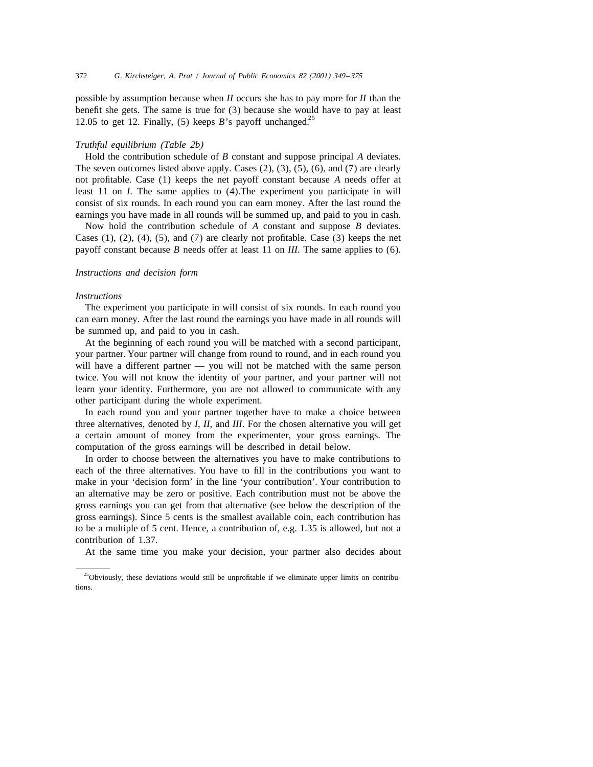possible by assumption because when *II* occurs she has to pay more for *II* than the benefit she gets. The same is true for (3) because she would have to pay at least 12.05 to get 12. Finally, (5) keeps *B*'s payoff unchanged.<sup>25</sup>

#### *Truthful equilibrium* (*Table* <sup>2</sup>*b*)

Hold the contribution schedule of *B* constant and suppose principal *A* deviates. The seven outcomes listed above apply. Cases (2), (3), (5), (6), and (7) are clearly not profitable. Case (1) keeps the net payoff constant because *A* needs offer at least 11 on *I*. The same applies to (4).The experiment you participate in will consist of six rounds. In each round you can earn money. After the last round the earnings you have made in all rounds will be summed up, and paid to you in cash.

Now hold the contribution schedule of *A* constant and suppose *B* deviates. Cases  $(1)$ ,  $(2)$ ,  $(4)$ ,  $(5)$ , and  $(7)$  are clearly not profitable. Case  $(3)$  keeps the net payoff constant because *B* needs offer at least 11 on *III*. The same applies to (6).

## *Instructions and decision form*

### *Instructions*

The experiment you participate in will consist of six rounds. In each round you can earn money. After the last round the earnings you have made in all rounds will be summed up, and paid to you in cash.

At the beginning of each round you will be matched with a second participant, your partner. Your partner will change from round to round, and in each round you will have a different partner — you will not be matched with the same person twice. You will not know the identity of your partner, and your partner will not learn your identity. Furthermore, you are not allowed to communicate with any other participant during the whole experiment.

In each round you and your partner together have to make a choice between three alternatives, denoted by *I*, *II*, and *III*. For the chosen alternative you will get a certain amount of money from the experimenter, your gross earnings. The computation of the gross earnings will be described in detail below.

In order to choose between the alternatives you have to make contributions to each of the three alternatives. You have to fill in the contributions you want to make in your 'decision form' in the line 'your contribution'. Your contribution to an alternative may be zero or positive. Each contribution must not be above the gross earnings you can get from that alternative (see below the description of the gross earnings). Since 5 cents is the smallest available coin, each contribution has to be a multiple of 5 cent. Hence, a contribution of, e.g. 1.35 is allowed, but not a contribution of 1.37.

At the same time you make your decision, your partner also decides about

<sup>&</sup>lt;sup>25</sup>Obviously, these deviations would still be unprofitable if we eliminate upper limits on contributions.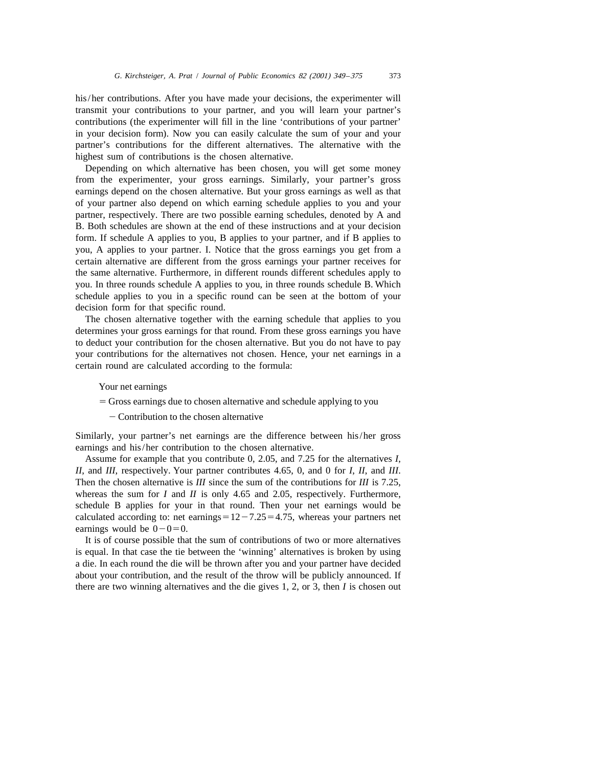his/her contributions. After you have made your decisions, the experimenter will transmit your contributions to your partner, and you will learn your partner's contributions (the experimenter will fill in the line 'contributions of your partner' in your decision form). Now you can easily calculate the sum of your and your partner's contributions for the different alternatives. The alternative with the highest sum of contributions is the chosen alternative.

Depending on which alternative has been chosen, you will get some money from the experimenter, your gross earnings. Similarly, your partner's gross earnings depend on the chosen alternative. But your gross earnings as well as that of your partner also depend on which earning schedule applies to you and your partner, respectively. There are two possible earning schedules, denoted by A and B. Both schedules are shown at the end of these instructions and at your decision form. If schedule A applies to you, B applies to your partner, and if B applies to you, A applies to your partner. I. Notice that the gross earnings you get from a certain alternative are different from the gross earnings your partner receives for the same alternative. Furthermore, in different rounds different schedules apply to you. In three rounds schedule A applies to you, in three rounds schedule B. Which schedule applies to you in a specific round can be seen at the bottom of your decision form for that specific round.

The chosen alternative together with the earning schedule that applies to you determines your gross earnings for that round. From these gross earnings you have to deduct your contribution for the chosen alternative. But you do not have to pay your contributions for the alternatives not chosen. Hence, your net earnings in a certain round are calculated according to the formula:

Your net earnings

- 5 Gross earnings due to chosen alternative and schedule applying to you
	- Contribution to the chosen alternative

Similarly, your partner's net earnings are the difference between his/her gross earnings and his/her contribution to the chosen alternative.

Assume for example that you contribute 0, 2.05, and 7.25 for the alternatives *I*, *II*, and *III*, respectively. Your partner contributes 4.65, 0, and 0 for *I*, *II*, and *III*. Then the chosen alternative is *III* since the sum of the contributions for *III* is 7.25, whereas the sum for *I* and *II* is only 4.65 and 2.05, respectively. Furthermore, schedule B applies for your in that round. Then your net earnings would be calculated according to: net earnings $=12-7.25=4.75$ , whereas your partners net earnings would be  $0-0=0$ .

It is of course possible that the sum of contributions of two or more alternatives is equal. In that case the tie between the 'winning' alternatives is broken by using a die. In each round the die will be thrown after you and your partner have decided about your contribution, and the result of the throw will be publicly announced. If there are two winning alternatives and the die gives 1, 2, or 3, then *I* is chosen out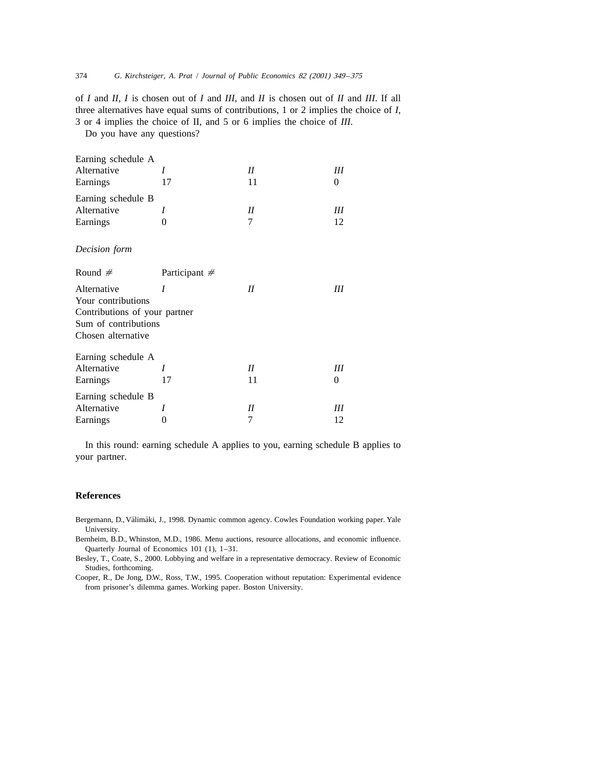of *I* and *II*, *I* is chosen out of *I* and *III*, and *II* is chosen out of *II* and *III*. If all three alternatives have equal sums of contributions, 1 or 2 implies the choice of *I*, 3 or 4 implies the choice of II, and 5 or 6 implies the choice of *III*.

Do you have any questions?

| Earning schedule A<br>Alternative<br>Earnings                                                                    | I<br>17         | II<br>11      | Ш<br>0  |
|------------------------------------------------------------------------------------------------------------------|-----------------|---------------|---------|
| Earning schedule B<br>Alternative<br>Earnings                                                                    | I<br>0          | $_{II}$<br>7  | Ш<br>12 |
| Decision form                                                                                                    |                 |               |         |
| Round $#$                                                                                                        | Participant $#$ |               |         |
| Alternative<br>Your contributions<br>Contributions of your partner<br>Sum of contributions<br>Chosen alternative | I               | II            | Ш       |
| Earning schedule A<br>Alternative<br>Earnings                                                                    | I<br>17         | $_{II}$<br>11 | Ш<br>0  |
| Earning schedule B<br>Alternative<br>Earnings                                                                    | I<br>0          | $I\!I$<br>7   | Ш<br>12 |

In this round: earning schedule A applies to you, earning schedule B applies to your partner.

## **References**

- Bergemann, D., Välimäki, J., 1998. Dynamic common agency. Cowles Foundation working paper. Yale University.
- Bernheim, B.D., Whinston, M.D., 1986. Menu auctions, resource allocations, and economic influence. Quarterly Journal of Economics 101 (1), 1–31.
- Besley, T., Coate, S., 2000. Lobbying and welfare in a representative democracy. Review of Economic Studies, forthcoming.

Cooper, R., De Jong, D.W., Ross, T.W., 1995. Cooperation without reputation: Experimental evidence from prisoner's dilemma games. Working paper. Boston University.